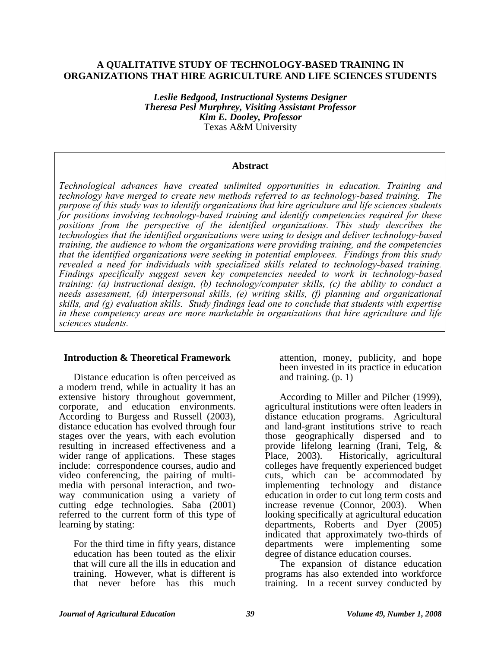### **A QUALITATIVE STUDY OF TECHNOLOGY-BASED TRAINING IN ORGANIZATIONS THAT HIRE AGRICULTURE AND LIFE SCIENCES STUDENTS**

*Leslie Bedgood, Instructional Systems Designer Theresa Pesl Murphrey, Visiting Assistant Professor Kim E. Dooley, Professor*  Texas A&M University

#### **Abstract**

*Technological advances have created unlimited opportunities in education. Training and technology have merged to create new methods referred to as technology-based training. The purpose of this study was to identify organizations that hire agriculture and life sciences students for positions involving technology-based training and identify competencies required for these*  positions from the perspective of the identified organizations. This study describes the *technologies that the identified organizations were using to design and deliver technology-based training, the audience to whom the organizations were providing training, and the competencies that the identified organizations were seeking in potential employees. Findings from this study revealed a need for individuals with specialized skills related to technology-based training. Findings specifically suggest seven key competencies needed to work in technology-based training: (a) instructional design, (b) technology/computer skills, (c) the ability to conduct a needs assessment, (d) interpersonal skills, (e) writing skills, (f) planning and organizational skills, and (g) evaluation skills. Study findings lead one to conclude that students with expertise in these competency areas are more marketable in organizations that hire agriculture and life sciences students.* 

#### **Introduction & Theoretical Framework**

Distance education is often perceived as a modern trend, while in actuality it has an extensive history throughout government, corporate, and education environments. According to Burgess and Russell (2003), distance education has evolved through four stages over the years, with each evolution resulting in increased effectiveness and a wider range of applications. These stages include: correspondence courses, audio and video conferencing, the pairing of multimedia with personal interaction, and twoway communication using a variety of cutting edge technologies. Saba (2001) referred to the current form of this type of learning by stating:

For the third time in fifty years, distance education has been touted as the elixir that will cure all the ills in education and training. However, what is different is that never before has this much

attention, money, publicity, and hope been invested in its practice in education and training. (p. 1)

According to Miller and Pilcher (1999), agricultural institutions were often leaders in distance education programs. Agricultural and land-grant institutions strive to reach those geographically dispersed and to provide lifelong learning (Irani, Telg, & Place, 2003). Historically, agricultural colleges have frequently experienced budget cuts, which can be accommodated by implementing technology and distance education in order to cut long term costs and increase revenue (Connor, 2003). When looking specifically at agricultural education departments, Roberts and Dyer (2005) indicated that approximately two-thirds of departments were implementing some degree of distance education courses.

The expansion of distance education programs has also extended into workforce training. In a recent survey conducted by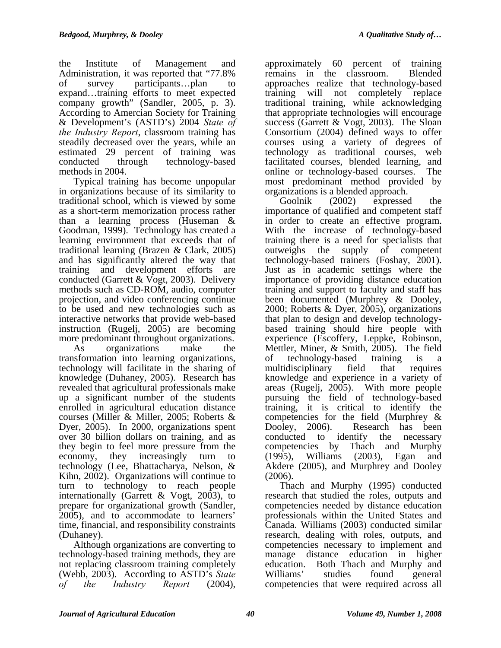the Institute of Management and Administration, it was reported that "77.8% of survey participants…plan to expand…training efforts to meet expected company growth" (Sandler, 2005, p. 3). According to Amercian Society for Training & Development's (ASTD's) 2004 *State of the Industry Report*, classroom training has steadily decreased over the years, while an estimated 29 percent of training was conducted through technology-based methods in 2004.

Typical training has become unpopular in organizations because of its similarity to traditional school, which is viewed by some as a short-term memorization process rather than a learning process (Huseman & Goodman, 1999). Technology has created a learning environment that exceeds that of traditional learning (Brazen & Clark, 2005) and has significantly altered the way that training and development efforts are conducted (Garrett & Vogt, 2003). Delivery methods such as CD-ROM, audio, computer projection, and video conferencing continue to be used and new technologies such as interactive networks that provide web-based instruction (Rugelj, 2005) are becoming more predominant throughout organizations.

As organizations make the transformation into learning organizations, technology will facilitate in the sharing of knowledge (Duhaney, 2005). Research has revealed that agricultural professionals make up a significant number of the students enrolled in agricultural education distance courses (Miller & Miller, 2005; Roberts & Dyer, 2005). In 2000, organizations spent over 30 billion dollars on training, and as they begin to feel more pressure from the economy, they increasingly turn to technology (Lee, Bhattacharya, Nelson, & Kihn, 2002). Organizations will continue to turn to technology to reach people internationally (Garrett & Vogt,  $2003$ ), to prepare for organizational growth (Sandler, 2005), and to accommodate to learners' time, financial, and responsibility constraints (Duhaney).

Although organizations are converting to technology-based training methods, they are not replacing classroom training completely (Webb, 2003). According to ASTD's *State of the Industry Report* (2004),

approximately 60 percent of training remains in the classroom. Blended approaches realize that technology-based training will not completely replace traditional training, while acknowledging that appropriate technologies will encourage success (Garrett & Vogt, 2003). The Sloan Consortium (2004) defined ways to offer courses using a variety of degrees of technology as traditional courses, web facilitated courses, blended learning, and online or technology-based courses. The most predominant method provided by organizations is a blended approach.

Goolnik (2002) expressed the importance of qualified and competent staff in order to create an effective program. With the increase of technology-based training there is a need for specialists that outweighs the supply of competent technology-based trainers (Foshay, 2001). Just as in academic settings where the importance of providing distance education training and support to faculty and staff has been documented (Murphrey & Dooley, 2000; Roberts & Dyer, 2005), organizations that plan to design and develop technologybased training should hire people with experience (Escoffery, Leppke, Robinson, Mettler, Miner, & Smith, 2005). The field of technology-based training is a multidisciplinary field that requires knowledge and experience in a variety of areas (Rugelj, 2005). With more people pursuing the field of technology-based training, it is critical to identify the competencies for the field (Murphrey & Dooley, 2006). Research has been conducted to identify the necessary competencies by Thach and Murphy (1995), Williams (2003), Egan and Akdere (2005), and Murphrey and Dooley (2006).

Thach and Murphy (1995) conducted research that studied the roles, outputs and competencies needed by distance education professionals within the United States and Canada. Williams (2003) conducted similar research, dealing with roles, outputs, and competencies necessary to implement and manage distance education in higher education. Both Thach and Murphy and Williams' studies found general competencies that were required across all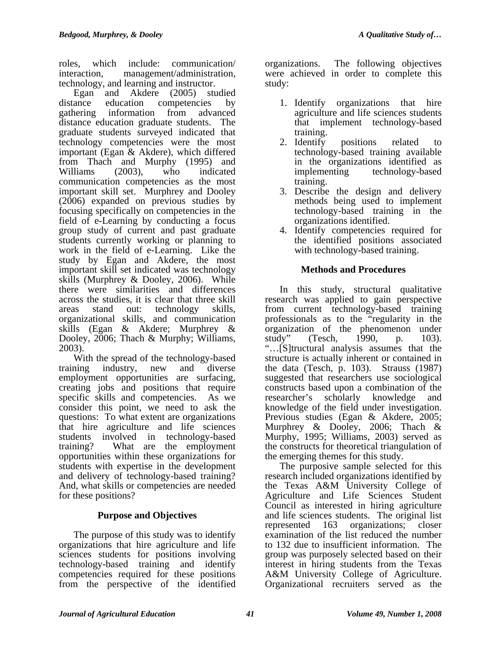roles, which include: communication/ interaction, management/administration, technology, and learning and instructor.

Egan and Akdere (2005) studied distance education competencies by gathering information from advanced distance education graduate students. The graduate students surveyed indicated that technology competencies were the most important (Egan & Akdere), which differed from Thach and Murphy (1995) and Williams (2003), who indicated communication competencies as the most important skill set. Murphrey and Dooley (2006) expanded on previous studies by focusing specifically on competencies in the field of e-Learning by conducting a focus group study of current and past graduate students currently working or planning to work in the field of e-Learning. Like the study by Egan and Akdere, the most important skill set indicated was technology skills (Murphrey & Dooley, 2006). While there were similarities and differences across the studies, it is clear that three skill areas stand out: technology skills, organizational skills, and communication skills (Egan & Akdere; Murphrey & Dooley, 2006; Thach & Murphy; Williams, 2003).

With the spread of the technology-based training industry, new and diverse employment opportunities are surfacing, creating jobs and positions that require specific skills and competencies. As we consider this point, we need to ask the questions: To what extent are organizations that hire agriculture and life sciences students involved in technology-based training? What are the employment opportunities within these organizations for students with expertise in the development and delivery of technology-based training? And, what skills or competencies are needed for these positions?

# **Purpose and Objectives**

The purpose of this study was to identify organizations that hire agriculture and life sciences students for positions involving technology-based training and identify competencies required for these positions from the perspective of the identified

organizations. The following objectives were achieved in order to complete this study:

- 1. Identify organizations that hire agriculture and life sciences students that implement technology-based training.
- 2. Identify positions related to technology-based training available in the organizations identified as implementing technology-based training.
- 3. Describe the design and delivery methods being used to implement technology-based training in the organizations identified.
- 4. Identify competencies required for the identified positions associated with technology-based training.

# **Methods and Procedures**

In this study, structural qualitative research was applied to gain perspective from current technology-based training professionals as to the "regularity in the organization of the phenomenon under study" (Tesch, 1990, p. 103). "…[S]tructural analysis assumes that the structure is actually inherent or contained in the data (Tesch, p. 103). Strauss (1987) suggested that researchers use sociological constructs based upon a combination of the researcher's scholarly knowledge and knowledge of the field under investigation. Previous studies (Egan & Akdere, 2005; Murphrey & Dooley, 2006; Thach & Murphy, 1995; Williams, 2003) served as the constructs for theoretical triangulation of the emerging themes for this study.

The purposive sample selected for this research included organizations identified by the Texas A&M University College of Agriculture and Life Sciences Student Council as interested in hiring agriculture and life sciences students. The original list represented 163 organizations; closer examination of the list reduced the number to 132 due to insufficient information. The group was purposely selected based on their interest in hiring students from the Texas A&M University College of Agriculture. Organizational recruiters served as the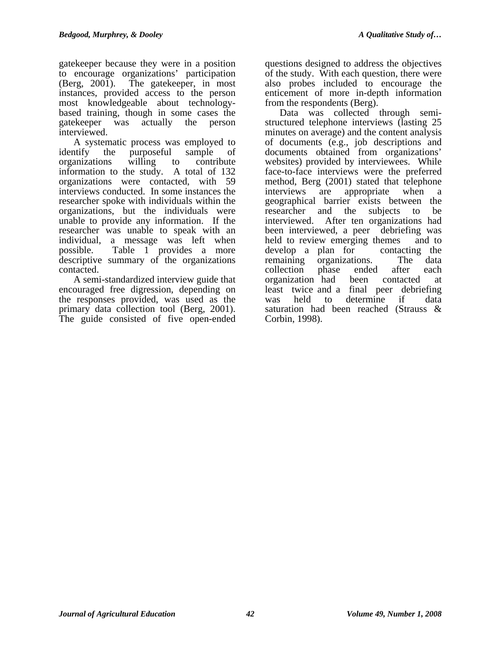gatekeeper because they were in a position to encourage organizations' participation (Berg, 2001). The gatekeeper, in most instances, provided access to the person most knowledgeable about technologybased training, though in some cases the gatekeeper was actually the person interviewed.

A systematic process was employed to identify the purposeful sample of organizations willing to contribute information to the study. A total of 132 organizations were contacted, with 59 interviews conducted. In some instances the researcher spoke with individuals within the organizations, but the individuals were unable to provide any information. If the researcher was unable to speak with an individual, a message was left when possible. Table 1 provides a more descriptive summary of the organizations contacted.

A semi-standardized interview guide that encouraged free digression, depending on the responses provided, was used as the primary data collection tool (Berg, 2001). The guide consisted of five open-ended questions designed to address the objectives of the study. With each question, there were also probes included to encourage the enticement of more in-depth information from the respondents (Berg).

Data was collected through semistructured telephone interviews (lasting 25 minutes on average) and the content analysis of documents (e.g., job descriptions and documents obtained from organizations' websites) provided by interviewees. While face-to-face interviews were the preferred method, Berg (2001) stated that telephone interviews are appropriate when a geographical barrier exists between the researcher and the subjects to be interviewed. After ten organizations had been interviewed, a peer debriefing was held to review emerging themes and to develop a plan for contacting the remaining organizations. The data collection phase ended after each organization had been contacted at least twice and a final peer debriefing was held to determine if data saturation had been reached (Strauss & Corbin, 1998).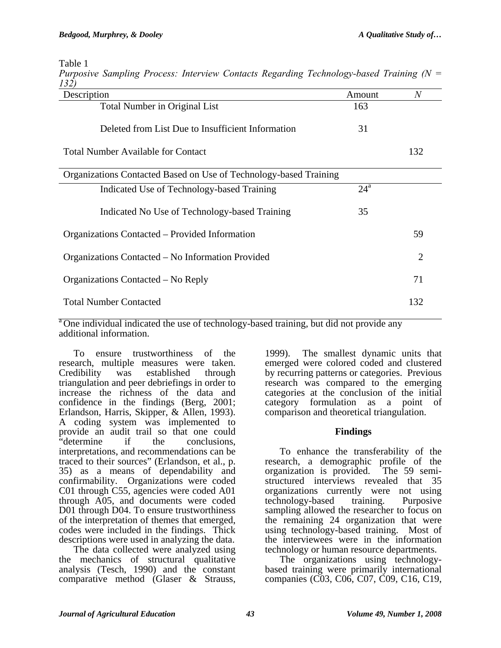Table 1

| 132)                                                              |              |                |
|-------------------------------------------------------------------|--------------|----------------|
| Description                                                       | Amount       | $\overline{N}$ |
| <b>Total Number in Original List</b>                              | 163          |                |
| Deleted from List Due to Insufficient Information                 | 31           |                |
| <b>Total Number Available for Contact</b>                         |              | 132            |
| Organizations Contacted Based on Use of Technology-based Training |              |                |
| Indicated Use of Technology-based Training                        | $24^{\rm a}$ |                |
| Indicated No Use of Technology-based Training                     | 35           |                |
| Organizations Contacted – Provided Information                    |              | 59             |
| Organizations Contacted – No Information Provided                 |              | $\overline{2}$ |
| Organizations Contacted – No Reply                                |              | 71             |
| <b>Total Number Contacted</b>                                     |              | 132            |

*Purposive Sampling Process: Interview Contacts Regarding Technology-based Training (N = 132)* 

<sup>a</sup> One individual indicated the use of technology-based training, but did not provide any additional information.

To ensure trustworthiness of the research, multiple measures were taken.<br>Credibility was established through Credibility was established through triangulation and peer debriefings in order to increase the richness of the data and confidence in the findings (Berg, 2001; Erlandson, Harris, Skipper, & Allen, 1993). A coding system was implemented to provide an audit trail so that one could<br>"determine if the conclusions. if the conclusions. interpretations, and recommendations can be traced to their sources" (Erlandson, et al., p. 35) as a means of dependability and confirmability. Organizations were coded C01 through C55, agencies were coded A01 through A05, and documents were coded D01 through D04. To ensure trustworthiness of the interpretation of themes that emerged, codes were included in the findings. Thick descriptions were used in analyzing the data.

The data collected were analyzed using the mechanics of structural qualitative analysis (Tesch, 1990) and the constant comparative method (Glaser & Strauss,

1999). The smallest dynamic units that emerged were colored coded and clustered by recurring patterns or categories. Previous research was compared to the emerging categories at the conclusion of the initial category formulation as a point of comparison and theoretical triangulation.

### **Findings**

To enhance the transferability of the research, a demographic profile of the organization is provided. The 59 semistructured interviews revealed that 35 organizations currently were not using technology-based training. Purposive sampling allowed the researcher to focus on the remaining 24 organization that were using technology-based training. Most of the interviewees were in the information technology or human resource departments.

The organizations using technologybased training were primarily international companies (C03, C06, C07, C09, C16, C19,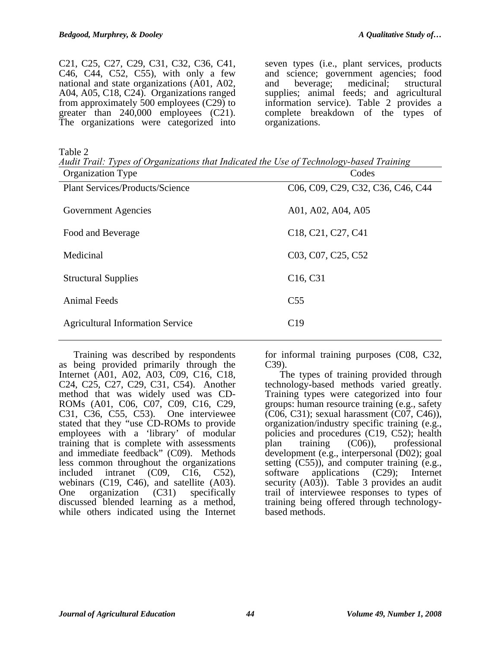C21, C25, C27, C29, C31, C32, C36, C41, C46, C44, C52, C55), with only a few national and state organizations (A01, A02, A04, A05, C18, C24). Organizations ranged from approximately 500 employees (C29) to greater than  $240,000$  employees  $(C21)$ . The organizations were categorized into

seven types (i.e., plant services, products and science; government agencies; food and beverage; medicinal; structural supplies; animal feeds; and agricultural information service). Table 2 provides a complete breakdown of the types of organizations.

Table 2

*Audit Trail: Types of Organizations that Indicated the Use of Technology-based Training*  Organization Type Codes

| Organization Type                       | Codes                                                                                                                       |
|-----------------------------------------|-----------------------------------------------------------------------------------------------------------------------------|
| <b>Plant Services/Products/Science</b>  | C <sub>0</sub> 6, C <sub>09</sub> , C <sub>29</sub> , C <sub>32</sub> , C <sub>36</sub> , C <sub>46</sub> , C <sub>44</sub> |
| Government Agencies                     | A01, A02, A04, A05                                                                                                          |
| Food and Beverage                       | C <sub>18</sub> , C <sub>21</sub> , C <sub>27</sub> , C <sub>41</sub>                                                       |
| Medicinal                               | C <sub>03</sub> , C <sub>07</sub> , C <sub>25</sub> , C <sub>52</sub>                                                       |
| <b>Structural Supplies</b>              | C <sub>16</sub> , C <sub>31</sub>                                                                                           |
| <b>Animal Feeds</b>                     | C <sub>55</sub>                                                                                                             |
| <b>Agricultural Information Service</b> | C19                                                                                                                         |
|                                         |                                                                                                                             |

Training was described by respondents as being provided primarily through the Internet (A01, A02, A03, C09, C16, C18, C24, C25, C27, C29, C31, C54). Another method that was widely used was CD-ROMs (A01, C06, C07, C09, C16, C29, C31, C36, C55, C53). One interviewee stated that they "use CD-ROMs to provide employees with a 'library' of modular training that is complete with assessments and immediate feedback" (C09). Methods less common throughout the organizations included intranet (C09, C16, C52), webinars (C19, C46), and satellite (A03). One organization (C31) specifically discussed blended learning as a method, while others indicated using the Internet

for informal training purposes (C08, C32, C39).

The types of training provided through technology-based methods varied greatly. Training types were categorized into four groups: human resource training (e.g., safety (C06, C31); sexual harassment (C07, C46)), organization/industry specific training (e.g., policies and procedures (C19, C52); health plan training (C06)), professional development (e.g., interpersonal (D02); goal setting (C55)), and computer training (e.g., software applications (C29); Internet security  $(A03)$ . Table 3 provides an audit trail of interviewee responses to types of training being offered through technologybased methods.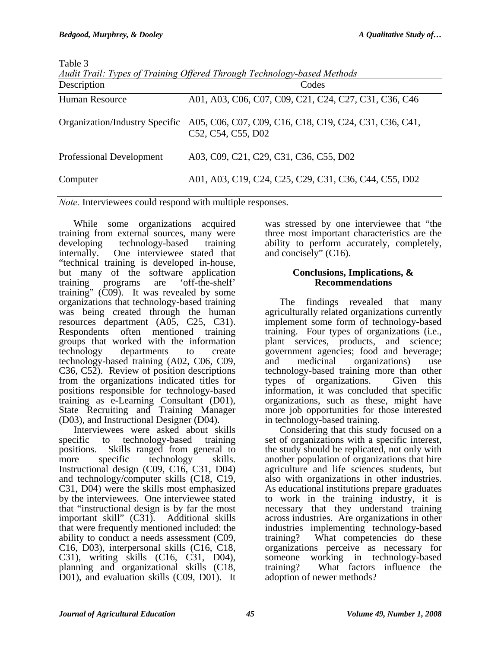Table 3

| Description              | Audit Trait. Types of Training Offered Through Technology-based Methods<br>Codes                            |  |  |
|--------------------------|-------------------------------------------------------------------------------------------------------------|--|--|
| <b>Human Resource</b>    | A01, A03, C06, C07, C09, C21, C24, C27, C31, C36, C46                                                       |  |  |
|                          | Organization/Industry Specific A05, C06, C07, C09, C16, C18, C19, C24, C31, C36, C41,<br>C52, C54, C55, D02 |  |  |
| Professional Development | A03, C09, C21, C29, C31, C36, C55, D02                                                                      |  |  |
| Computer                 | A01, A03, C19, C24, C25, C29, C31, C36, C44, C55, D02                                                       |  |  |

*Audit Trail: Types of Training Offered Through Technology-based Methods* 

*Note.* Interviewees could respond with multiple responses.

While some organizations acquired training from external sources, many were developing technology-based training internally. One interviewee stated that "technical training is developed in-house, but many of the software application training programs are 'off-the-shelf' training" (C09). It was revealed by some organizations that technology-based training was being created through the human resources department (A05, C25, C31). Respondents often mentioned training groups that worked with the information technology departments to create technology-based training (A02, C06, C09, C36, C52). Review of position descriptions from the organizations indicated titles for positions responsible for technology-based training as e-Learning Consultant (D01), State Recruiting and Training Manager (D03), and Instructional Designer (D04).

Interviewees were asked about skills specific to technology-based training positions. Skills ranged from general to more specific technology skills. Instructional design (C09, C16, C31, D04) and technology/computer skills (C18, C19, C31, D04) were the skills most emphasized by the interviewees. One interviewee stated that "instructional design is by far the most important skill" (C31). Additional skills that were frequently mentioned included: the ability to conduct a needs assessment (C09, C16, D03), interpersonal skills (C16, C18, C31), writing skills (C16, C31, D04), planning and organizational skills (C18, D01), and evaluation skills (C09, D01). It

was stressed by one interviewee that "the three most important characteristics are the ability to perform accurately, completely, and concisely" (C16).

## **Conclusions, Implications, & Recommendations**

The findings revealed that many agriculturally related organizations currently implement some form of technology-based training. Four types of organizations (i.e., plant services, products, and science; government agencies; food and beverage; and medicinal organizations) use technology-based training more than other types of organizations. Given this information, it was concluded that specific organizations, such as these, might have more job opportunities for those interested in technology-based training.

Considering that this study focused on a set of organizations with a specific interest, the study should be replicated, not only with another population of organizations that hire agriculture and life sciences students, but also with organizations in other industries. As educational institutions prepare graduates to work in the training industry, it is necessary that they understand training across industries. Are organizations in other industries implementing technology-based training? What competencies do these organizations perceive as necessary for someone working in technology-based training? What factors influence the adoption of newer methods?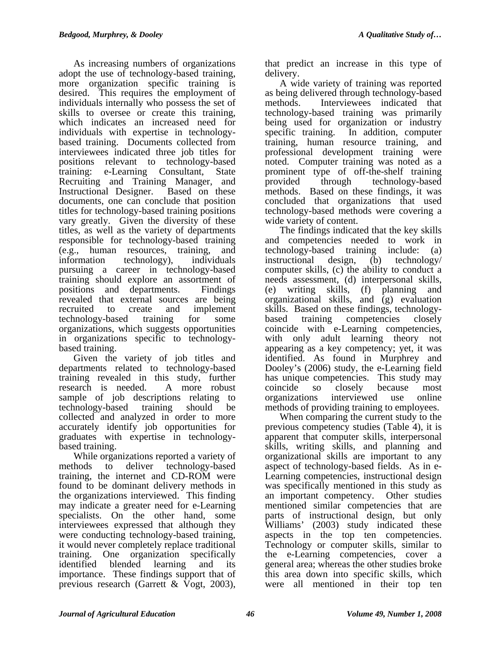As increasing numbers of organizations adopt the use of technology-based training, more organization specific training is desired. This requires the employment of individuals internally who possess the set of skills to oversee or create this training, which indicates an increased need for individuals with expertise in technologybased training. Documents collected from interviewees indicated three job titles for positions relevant to technology-based training: e-Learning Consultant, State Recruiting and Training Manager, and Instructional Designer. Based on these documents, one can conclude that position titles for technology-based training positions vary greatly. Given the diversity of these titles, as well as the variety of departments responsible for technology-based training (e.g., human resources, training, and information technology), individuals pursuing a career in technology-based training should explore an assortment of positions and departments. Findings revealed that external sources are being recruited to create and implement technology-based training for some organizations, which suggests opportunities in organizations specific to technologybased training.

Given the variety of job titles and departments related to technology-based training revealed in this study, further research is needed. A more robust sample of job descriptions relating to technology-based training should be collected and analyzed in order to more accurately identify job opportunities for graduates with expertise in technologybased training.

While organizations reported a variety of methods to deliver technology-based training, the internet and CD-ROM were found to be dominant delivery methods in the organizations interviewed. This finding may indicate a greater need for e-Learning specialists. On the other hand, some interviewees expressed that although they were conducting technology-based training, it would never completely replace traditional training. One organization specifically identified blended learning and its importance. These findings support that of previous research (Garrett & Vogt, 2003),

that predict an increase in this type of delivery.

A wide variety of training was reported as being delivered through technology-based methods. Interviewees indicated that technology-based training was primarily being used for organization or industry specific training. In addition, computer training, human resource training, and professional development training were noted. Computer training was noted as a prominent type of off-the-shelf training provided through technology-based methods. Based on these findings, it was concluded that organizations that used technology-based methods were covering a wide variety of content.

The findings indicated that the key skills and competencies needed to work in technology-based training include: (a) instructional design, (b) technology/ computer skills, (c) the ability to conduct a needs assessment, (d) interpersonal skills, (e) writing skills, (f) planning and organizational skills, and (g) evaluation skills. Based on these findings, technologybased training competencies closely coincide with e-Learning competencies, with only adult learning theory not appearing as a key competency; yet, it was identified. As found in Murphrey and Dooley's (2006) study, the e-Learning field has unique competencies. This study may coincide so closely because most organizations interviewed use online methods of providing training to employees.

When comparing the current study to the previous competency studies (Table 4), it is apparent that computer skills, interpersonal skills, writing skills, and planning and organizational skills are important to any aspect of technology-based fields. As in e-Learning competencies, instructional design was specifically mentioned in this study as an important competency. Other studies mentioned similar competencies that are parts of instructional design, but only Williams' (2003) study indicated these aspects in the top ten competencies. Technology or computer skills, similar to the e-Learning competencies, cover a general area; whereas the other studies broke this area down into specific skills, which were all mentioned in their top ten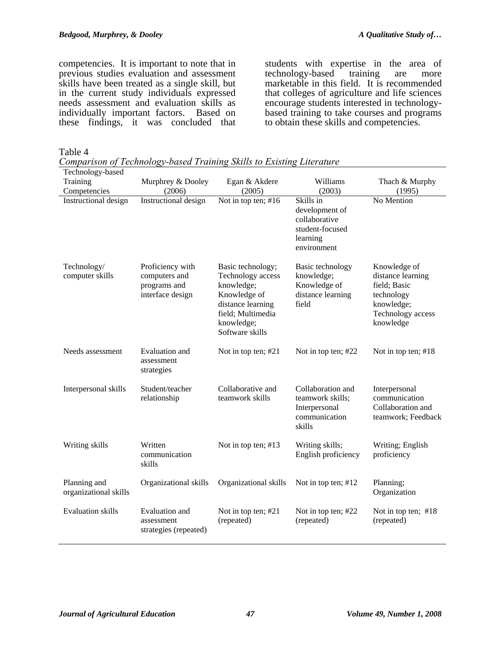competencies. It is important to note that in previous studies evaluation and assessment skills have been treated as a single skill, but in the current study individuals expressed needs assessment and evaluation skills as individually important factors. Based on these findings, it was concluded that students with expertise in the area of technology-based training are more marketable in this field. It is recommended that colleges of agriculture and life sciences encourage students interested in technologybased training to take courses and programs to obtain these skills and competencies.

Table 4

*Comparison of Technology-based Training Skills to Existing Literature* 

| Technology-based                      |                                                                       |                                                                                                                                                 |                                                                                            |                                                                                                                 |
|---------------------------------------|-----------------------------------------------------------------------|-------------------------------------------------------------------------------------------------------------------------------------------------|--------------------------------------------------------------------------------------------|-----------------------------------------------------------------------------------------------------------------|
| Training                              | Murphrey & Dooley                                                     | Egan & Akdere                                                                                                                                   | Williams                                                                                   | Thach & Murphy                                                                                                  |
| Competencies                          | (2006)                                                                | (2005)                                                                                                                                          | (2003)                                                                                     | (1995)                                                                                                          |
| Instructional design                  | Instructional design                                                  | Not in top ten; #16                                                                                                                             | Skills in<br>development of<br>collaborative<br>student-focused<br>learning<br>environment | No Mention                                                                                                      |
| Technology/<br>computer skills        | Proficiency with<br>computers and<br>programs and<br>interface design | Basic technology;<br>Technology access<br>knowledge;<br>Knowledge of<br>distance learning<br>field; Multimedia<br>knowledge;<br>Software skills | Basic technology<br>knowledge;<br>Knowledge of<br>distance learning<br>field               | Knowledge of<br>distance learning<br>field; Basic<br>technology<br>knowledge;<br>Technology access<br>knowledge |
| Needs assessment                      | Evaluation and<br>assessment<br>strategies                            | Not in top ten; #21                                                                                                                             | Not in top ten; #22                                                                        | Not in top ten; #18                                                                                             |
| Interpersonal skills                  | Student/teacher<br>relationship                                       | Collaborative and<br>teamwork skills                                                                                                            | Collaboration and<br>teamwork skills;<br>Interpersonal<br>communication<br>skills          | Interpersonal<br>communication<br>Collaboration and<br>teamwork; Feedback                                       |
| Writing skills                        | Written<br>communication<br>skills                                    | Not in top ten; #13                                                                                                                             | Writing skills;<br>English proficiency                                                     | Writing; English<br>proficiency                                                                                 |
| Planning and<br>organizational skills | Organizational skills                                                 | Organizational skills                                                                                                                           | Not in top ten; #12                                                                        | Planning;<br>Organization                                                                                       |
| <b>Evaluation</b> skills              | Evaluation and<br>assessment<br>strategies (repeated)                 | Not in top ten; #21<br>(repeated)                                                                                                               | Not in top ten; #22<br>(repeated)                                                          | Not in top ten; #18<br>(repeated)                                                                               |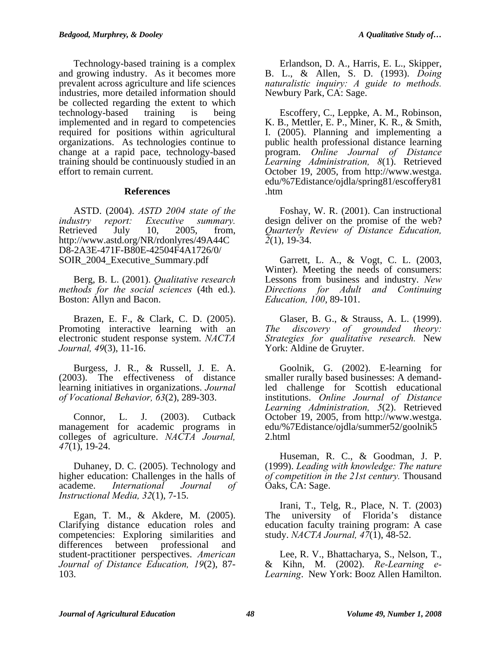Technology-based training is a complex and growing industry. As it becomes more prevalent across agriculture and life sciences industries, more detailed information should be collected regarding the extent to which technology-based training is being implemented and in regard to competencies required for positions within agricultural organizations. As technologies continue to change at a rapid pace, technology-based training should be continuously studied in an effort to remain current.

#### **References**

ASTD. (2004). *ASTD 2004 state of the industry report: Executive summary.* Retrieved July 10, 2005, from, http://www.astd.org/NR/rdonlyres/49A44C D8-2A3E-471F-B80E-42504F4A1726/0/ SOIR\_2004\_Executive\_Summary.pdf

Berg, B. L. (2001). *Qualitative research methods for the social sciences* (4th ed.). Boston: Allyn and Bacon.

Brazen, E. F., & Clark, C. D. (2005). Promoting interactive learning with an electronic student response system. *NACTA Journal, 49*(3), 11-16.

Burgess, J. R., & Russell, J. E. A. (2003). The effectiveness of distance learning initiatives in organizations. *Journal of Vocational Behavior, 63*(2), 289-303.

Connor, L. J. (2003). Cutback management for academic programs in colleges of agriculture. *NACTA Journal, 47*(1), 19-24.

Duhaney, D. C. (2005). Technology and higher education: Challenges in the halls of academe. *International Journal of Instructional Media, 32*(1), 7-15.

Egan, T. M., & Akdere, M. (2005). Clarifying distance education roles and competencies: Exploring similarities and differences between professional and student-practitioner perspectives. *American Journal of Distance Education, 19*(2), 87- 103.

Erlandson, D. A., Harris, E. L., Skipper, B. L., & Allen, S. D. (1993). *Doing naturalistic inquiry: A guide to methods.* Newbury Park, CA: Sage.

Escoffery, C., Leppke, A. M., Robinson, K. B., Mettler, E. P., Miner, K. R., & Smith, I. (2005). Planning and implementing a public health professional distance learning program. *Online Journal of Distance Learning Administration, 8*(1). Retrieved October 19, 2005, from http://www.westga. edu/%7Edistance/ojdla/spring81/escoffery81 .htm

Foshay, W. R. (2001). Can instructional design deliver on the promise of the web? *Quarterly Review of Distance Education, 2*(1), 19-34.

Garrett, L. A., & Vogt, C. L. (2003, Winter). Meeting the needs of consumers: Lessons from business and industry. *New Directions for Adult and Continuing Education, 100*, 89-101.

Glaser, B. G., & Strauss, A. L. (1999). *The discovery of grounded theory: Strategies for qualitative research.* New York: Aldine de Gruyter.

Goolnik, G. (2002). E-learning for smaller rurally based businesses: A demandled challenge for Scottish educational institutions. *Online Journal of Distance Learning Administration, 5*(2). Retrieved October 19, 2005, from http://www.westga. edu/%7Edistance/ojdla/summer52/goolnik5 2.html

Huseman, R. C., & Goodman, J. P. (1999). *Leading with knowledge: The nature of competition in the 21st century.* Thousand Oaks, CA: Sage.

Irani, T., Telg, R., Place, N. T. (2003) The university of Florida's distance education faculty training program: A case study. *NACTA Journal, 47*(1), 48-52.

Lee, R. V., Bhattacharya, S., Nelson, T., & Kihn, M. (2002). *Re-Learning e-Learning*. New York: Booz Allen Hamilton.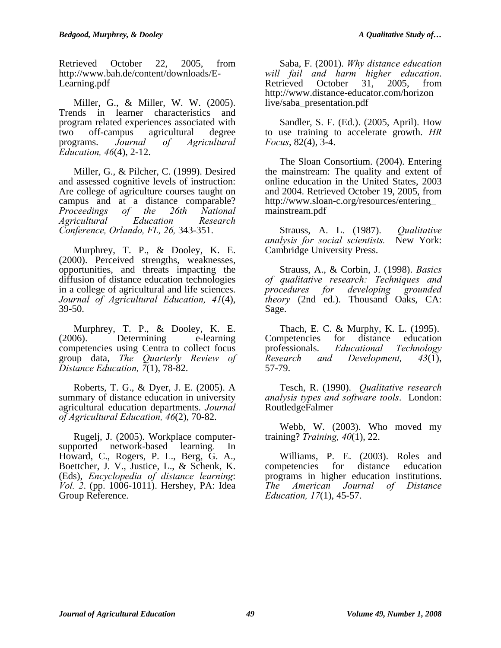Retrieved October 22, 2005, from http://www.bah.de/content/downloads/E-Learning.pdf

Miller, G., & Miller, W. W. (2005). Trends in learner characteristics and program related experiences associated with two off-campus agricultural degree programs. *Journal of Agricultural Education, 46*(4), 2-12.

Miller, G., & Pilcher, C. (1999). Desired and assessed cognitive levels of instruction: Are college of agriculture courses taught on campus and at a distance comparable? *Proceedings of the 26th National Agricultural Education Research Conference, Orlando, FL, 26,* 343-351.

Murphrey, T. P., & Dooley, K. E. (2000). Perceived strengths, weaknesses, opportunities, and threats impacting the diffusion of distance education technologies in a college of agricultural and life sciences. *Journal of Agricultural Education, 41*(4), 39-50.

Murphrey, T. P., & Dooley, K. E. (2006). Determining e-learning competencies using Centra to collect focus group data, *The Quarterly Review of Distance Education, 7*(1), 78-82.

Roberts, T. G., & Dyer, J. E. (2005). A summary of distance education in university agricultural education departments. *Journal of Agricultural Education, 46*(2), 70-82.

Rugelj, J. (2005). Workplace computersupported network-based learning*.* In Howard, C., Rogers, P. L., Berg, G. A., Boettcher, J. V., Justice, L., & Schenk, K. (Eds), *Encyclopedia of distance learning*: *Vol. 2*. (pp. 1006-1011). Hershey, PA: Idea Group Reference.

Saba, F. (2001). *Why distance education will fail and harm higher education*. Retrieved October 31, 2005, from http://www.distance-educator.com/horizon live/saba\_presentation.pdf

Sandler, S. F. (Ed.). (2005, April). How to use training to accelerate growth. *HR Focus*, 82(4), 3-4.

The Sloan Consortium. (2004). Entering the mainstream: The quality and extent of online education in the United States, 2003 and 2004. Retrieved October 19, 2005, from http://www.sloan-c.org/resources/entering\_ mainstream.pdf

Strauss, A. L. (1987). *Qualitative analysis for social scientists.* New York: Cambridge University Press.

Strauss, A., & Corbin, J. (1998). *Basics of qualitative research: Techniques and procedures for developing theory* (2nd ed.). Thousand Oaks, CA: Sage.

Thach, E. C. & Murphy, K. L. (1995). Competencies for distance education professionals. *Educational Technology Research and Development, 43*(1), 57-79.

Tesch, R. (1990). *Qualitative research analysis types and software tools*. London: RoutledgeFalmer

Webb, W. (2003). Who moved my training? *Training, 40*(1), 22.

Williams, P. E. (2003). Roles and competencies for distance education programs in higher education institutions. *The American Journal of Distance Education, 17*(1), 45-57.